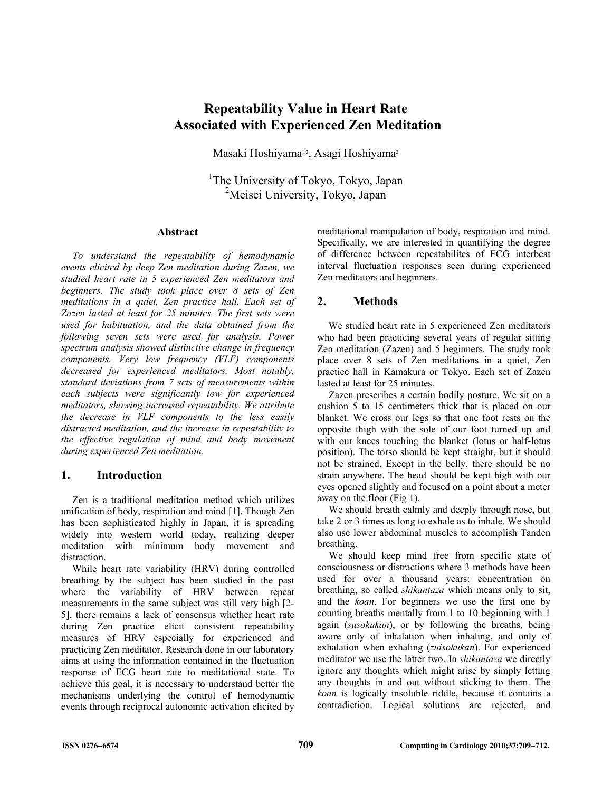# **Repeatability Value in Heart Rate Associated with Experienced Zen Meditation**

Masaki Hoshiyama<sup>1,2</sup>, Asagi Hoshiyama<sup>2</sup>

<sup>1</sup>The University of Tokyo, Tokyo, Japan <sup>2</sup>Meisei University, Tokyo, Japan

#### **Abstract**

*To understand the repeatability of hemodynamic events elicited by deep Zen meditation during Zazen, we studied heart rate in 5 experienced Zen meditators and beginners. The study took place over 8 sets of Zen meditations in a quiet, Zen practice hall. Each set of Zazen lasted at least for 25 minutes. The first sets were used for habituation, and the data obtained from the following seven sets were used for analysis. Power spectrum analysis showed distinctive change in frequency components. Very low frequency (VLF) components decreased for experienced meditators. Most notably, standard deviations from 7 sets of measurements within each subjects were significantly low for experienced meditators, showing increased repeatability. We attribute the decrease in VLF components to the less easily distracted meditation, and the increase in repeatability to the effective regulation of mind and body movement during experienced Zen meditation.* 

### **1. Introduction**

Zen is a traditional meditation method which utilizes unification of body, respiration and mind [1]. Though Zen has been sophisticated highly in Japan, it is spreading widely into western world today, realizing deeper meditation with minimum body movement and distraction.

While heart rate variability (HRV) during controlled breathing by the subject has been studied in the past where the variability of HRV between repeat measurements in the same subject was still very high [2- 5], there remains a lack of consensus whether heart rate during Zen practice elicit consistent repeatability measures of HRV especially for experienced and practicing Zen meditator. Research done in our laboratory aims at using the information contained in the fluctuation response of ECG heart rate to meditational state. To achieve this goal, it is necessary to understand better the mechanisms underlying the control of hemodynamic events through reciprocal autonomic activation elicited by meditational manipulation of body, respiration and mind. Specifically, we are interested in quantifying the degree of difference between repeatabilites of ECG interbeat interval fluctuation responses seen during experienced Zen meditators and beginners.

## **2. Methods**

We studied heart rate in 5 experienced Zen meditators who had been practicing several years of regular sitting Zen meditation (Zazen) and 5 beginners. The study took place over 8 sets of Zen meditations in a quiet, Zen practice hall in Kamakura or Tokyo. Each set of Zazen lasted at least for 25 minutes.

Zazen prescribes a certain bodily posture. We sit on a cushion 5 to 15 centimeters thick that is placed on our blanket. We cross our legs so that one foot rests on the opposite thigh with the sole of our foot turned up and with our knees touching the blanket (lotus or half-lotus position). The torso should be kept straight, but it should not be strained. Except in the belly, there should be no strain anywhere. The head should be kept high with our eyes opened slightly and focused on a point about a meter away on the floor (Fig 1).

We should breath calmly and deeply through nose, but take 2 or 3 times as long to exhale as to inhale. We should also use lower abdominal muscles to accomplish Tanden breathing.

We should keep mind free from specific state of consciousness or distractions where 3 methods have been used for over a thousand years: concentration on breathing, so called *shikantaza* which means only to sit, and the *koan*. For beginners we use the first one by counting breaths mentally from 1 to 10 beginning with 1 again (*susokukan*), or by following the breaths, being aware only of inhalation when inhaling, and only of exhalation when exhaling (*zuisokukan*). For experienced meditator we use the latter two. In *shikantaza* we directly ignore any thoughts which might arise by simply letting any thoughts in and out without sticking to them. The *koan* is logically insoluble riddle, because it contains a contradiction. Logical solutions are rejected, and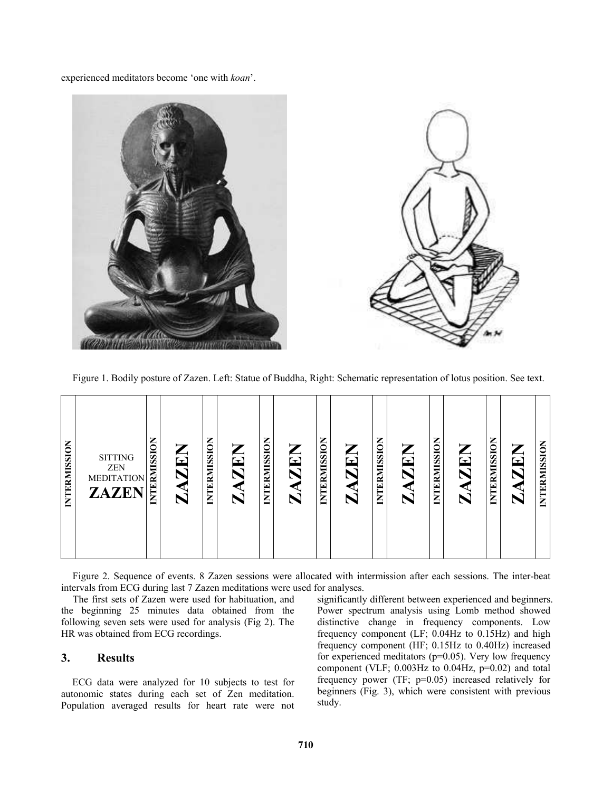experienced meditators become 'one with *koan*'.



Figure 1. Bodily posture of Zazen. Left: Statue of Buddha, Right: Schematic representation of lotus position. See text.

| INTERMISSION<br>INTERMISSION<br><b>INTERMISSION</b><br>INTERMISSION<br>INTERMISSION<br>INTERMISSION<br><b>INTERMISSION</b><br>$\sum_{\bm{\Sigma}}$<br>$\sum_{\bm{\Sigma}}$<br>$\sum_{\sum}$<br>$\sum_{\text{r}}$<br><b>SITTING</b><br>$\blacktriangleright$<br>$\mathbf{r}$<br><b>ZEN</b><br><b>MEDITATION</b><br>$\blacktriangleleft$<br><b>ZAZEN</b> | INTERMISSION | $\sum\limits_{\mathbf{\Sigma}}% {\color{blue} {{\bf{\Sigma}}_{\bf{2}}}} \sum\limits_{i = 1}^K {{\bf{\Sigma}}_{i}}% {\color{blue} {\bf{\Sigma}}_{i}}% } {\color{blue} {\bf{\Sigma}}_{i}}% }$ | <b>INTERMISSION</b> |
|--------------------------------------------------------------------------------------------------------------------------------------------------------------------------------------------------------------------------------------------------------------------------------------------------------------------------------------------------------|--------------|---------------------------------------------------------------------------------------------------------------------------------------------------------------------------------------------|---------------------|
|--------------------------------------------------------------------------------------------------------------------------------------------------------------------------------------------------------------------------------------------------------------------------------------------------------------------------------------------------------|--------------|---------------------------------------------------------------------------------------------------------------------------------------------------------------------------------------------|---------------------|

Figure 2. Sequence of events. 8 Zazen sessions were allocated with intermission after each sessions. The inter-beat intervals from ECG during last 7 Zazen meditations were used for analyses.

The first sets of Zazen were used for habituation, and the beginning 25 minutes data obtained from the following seven sets were used for analysis (Fig 2). The HR was obtained from ECG recordings.

## **3. Results**

ECG data were analyzed for 10 subjects to test for autonomic states during each set of Zen meditation. Population averaged results for heart rate were not significantly different between experienced and beginners. Power spectrum analysis using Lomb method showed distinctive change in frequency components. Low frequency component (LF; 0.04Hz to 0.15Hz) and high frequency component (HF; 0.15Hz to 0.40Hz) increased for experienced meditators ( $p=0.05$ ). Very low frequency component (VLF;  $0.003$ Hz to  $0.04$ Hz,  $p=0.02$ ) and total frequency power (TF; p=0.05) increased relatively for beginners (Fig. 3), which were consistent with previous study.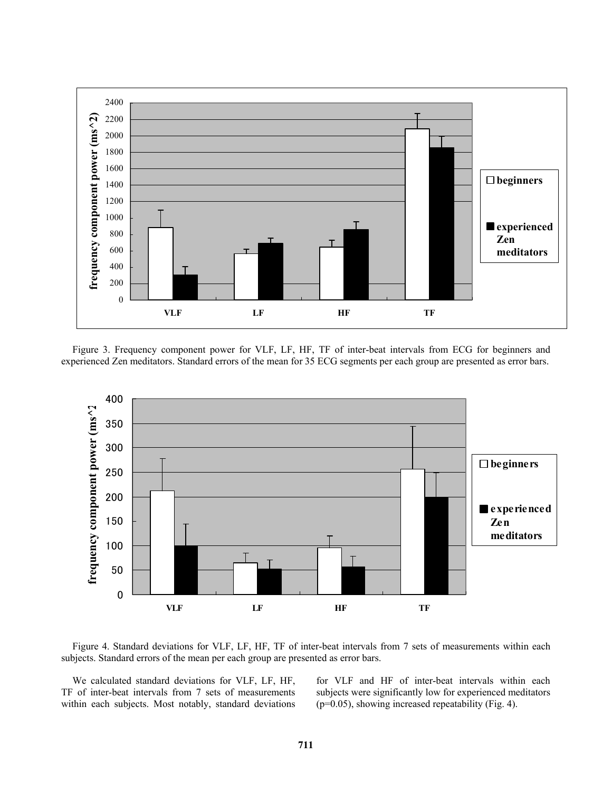

Figure 3. Frequency component power for VLF, LF, HF, TF of inter-beat intervals from ECG for beginners and experienced Zen meditators. Standard errors of the mean for 35 ECG segments per each group are presented as error bars.



Figure 4. Standard deviations for VLF, LF, HF, TF of inter-beat intervals from 7 sets of measurements within each subjects. Standard errors of the mean per each group are presented as error bars.

We calculated standard deviations for VLF, LF, HF, TF of inter-beat intervals from 7 sets of measurements within each subjects. Most notably, standard deviations for VLF and HF of inter-beat intervals within each subjects were significantly low for experienced meditators  $(p=0.05)$ , showing increased repeatability (Fig. 4).